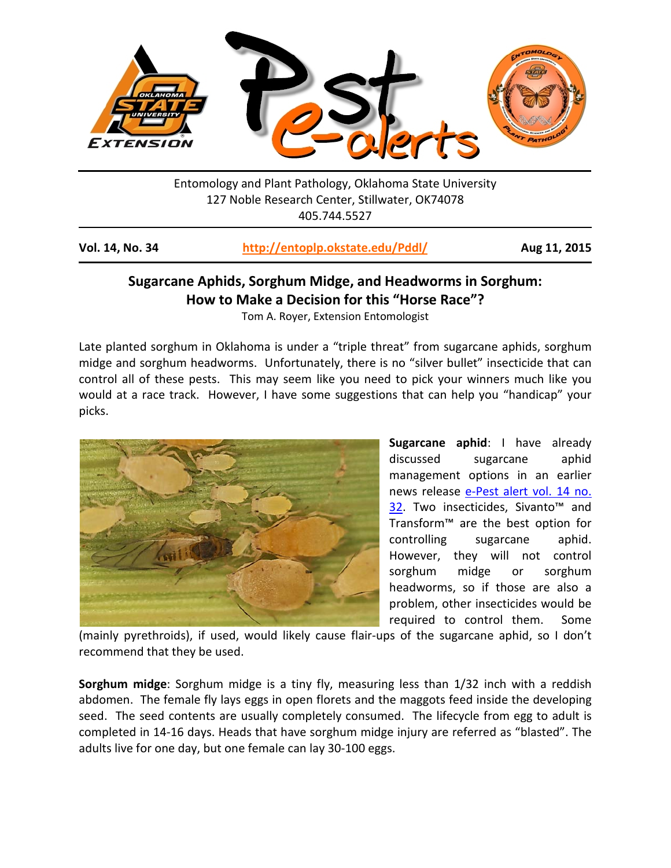

Entomology and Plant Pathology, Oklahoma State University 127 Noble Research Center, Stillwater, OK74078 405.744.5527

| Vol. 14, No. 34 | http://entoplp.okstate.edu/Pddl/ | Aug 11, 2015 |
|-----------------|----------------------------------|--------------|
|-----------------|----------------------------------|--------------|

## **Sugarcane Aphids, Sorghum Midge, and Headworms in Sorghum: How to Make a Decision for this "Horse Race"?**

Tom A. Royer, Extension Entomologist

Late planted sorghum in Oklahoma is under a "triple threat" from sugarcane aphids, sorghum midge and sorghum headworms. Unfortunately, there is no "silver bullet" insecticide that can control all of these pests. This may seem like you need to pick your winners much like you would at a race track. However, I have some suggestions that can help you "handicap" your picks.



**Sugarcane aphid**: I have already discussed sugarcane aphid management options in an earlier news release [e-Pest alert vol. 14 no.](http://entoplp.okstate.edu/pddl/pddl/2015/PA14-32.pdf)  [32.](http://entoplp.okstate.edu/pddl/pddl/2015/PA14-32.pdf) Two insecticides, Sivanto<sup>™</sup> and Transform™ are the best option for controlling sugarcane aphid. However, they will not control sorghum midge or sorghum headworms, so if those are also a problem, other insecticides would be required to control them. Some

(mainly pyrethroids), if used, would likely cause flair-ups of the sugarcane aphid, so I don't recommend that they be used.

**Sorghum midge**: Sorghum midge is a tiny fly, measuring less than 1/32 inch with a reddish abdomen. The female fly lays eggs in open florets and the maggots feed inside the developing seed. The seed contents are usually completely consumed. The lifecycle from egg to adult is completed in 14-16 days. Heads that have sorghum midge injury are referred as "blasted". The adults live for one day, but one female can lay 30-100 eggs.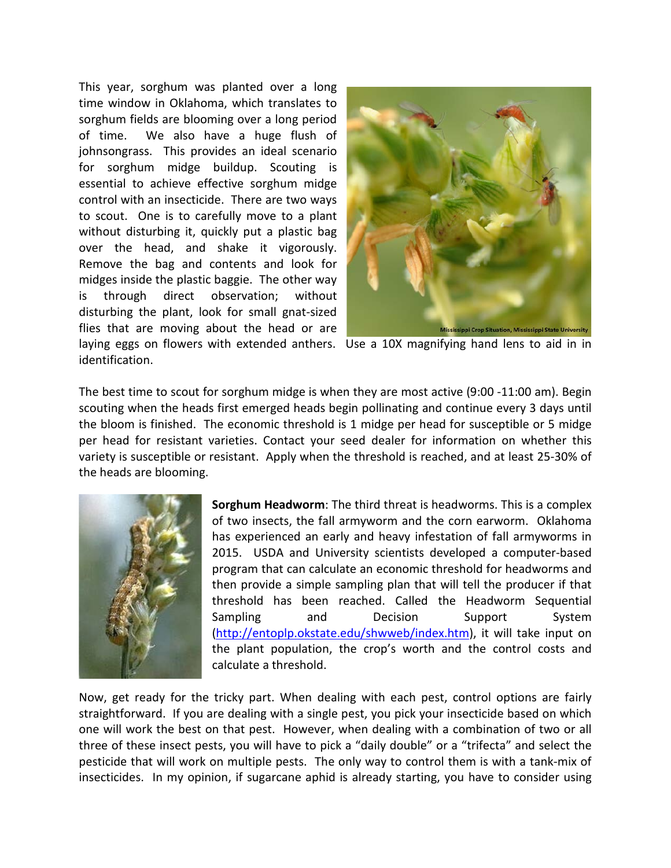This year, sorghum was planted over a long time window in Oklahoma, which translates to sorghum fields are blooming over a long period of time. We also have a huge flush of johnsongrass. This provides an ideal scenario for sorghum midge buildup. Scouting is essential to achieve effective sorghum midge control with an insecticide. There are two ways to scout. One is to carefully move to a plant without disturbing it, quickly put a plastic bag over the head, and shake it vigorously. Remove the bag and contents and look for midges inside the plastic baggie. The other way is through direct observation; without disturbing the plant, look for small gnat-sized flies that are moving about the head or are identification.



laying eggs on flowers with extended anthers. Use a 10X magnifying hand lens to aid in in

The best time to scout for sorghum midge is when they are most active (9:00 -11:00 am). Begin scouting when the heads first emerged heads begin pollinating and continue every 3 days until the bloom is finished. The economic threshold is 1 midge per head for susceptible or 5 midge per head for resistant varieties. Contact your seed dealer for information on whether this variety is susceptible or resistant. Apply when the threshold is reached, and at least 25-30% of the heads are blooming.



**Sorghum Headworm**: The third threat is headworms. This is a complex of two insects, the fall armyworm and the corn earworm. Oklahoma has experienced an early and heavy infestation of fall armyworms in 2015. USDA and University scientists developed a computer-based program that can calculate an economic threshold for headworms and then provide a simple sampling plan that will tell the producer if that threshold has been reached. Called the Headworm Sequential Sampling and Decision Support System [\(http://entoplp.okstate.edu/shwweb/index.htm\)](http://entoplp.okstate.edu/shwweb/index.htm), it will take input on the plant population, the crop's worth and the control costs and calculate a threshold.

Now, get ready for the tricky part. When dealing with each pest, control options are fairly straightforward. If you are dealing with a single pest, you pick your insecticide based on which one will work the best on that pest. However, when dealing with a combination of two or all three of these insect pests, you will have to pick a "daily double" or a "trifecta" and select the pesticide that will work on multiple pests. The only way to control them is with a tank-mix of insecticides. In my opinion, if sugarcane aphid is already starting, you have to consider using